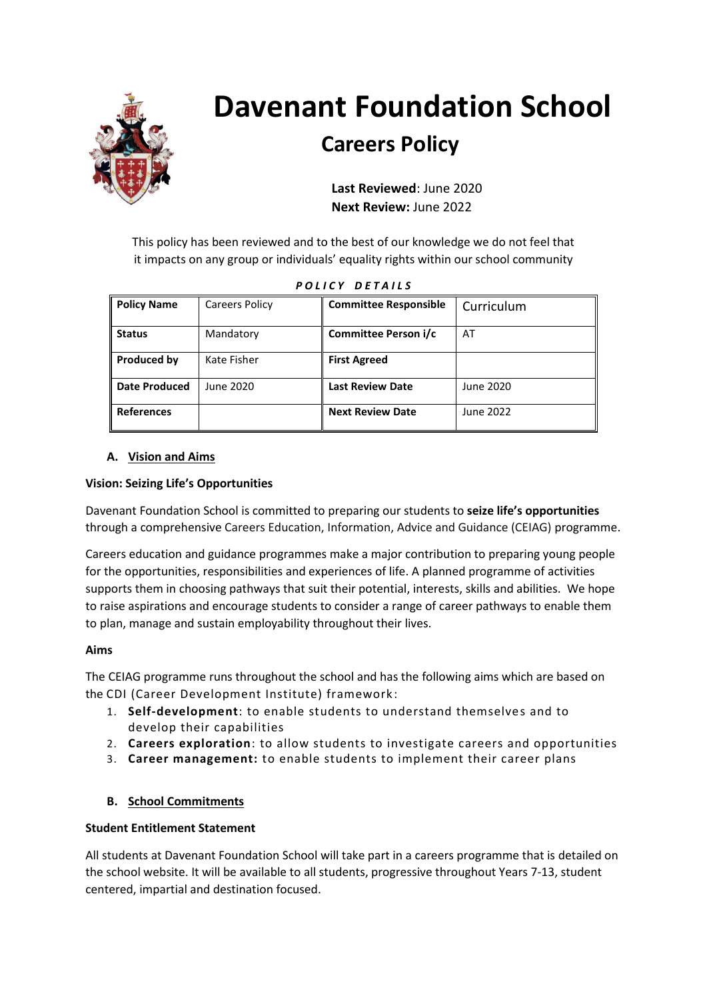

# **Davenant Foundation School**

# **Careers Policy**

 **Last Reviewed**: June 2020  **Next Review:** June 2022

This policy has been reviewed and to the best of our knowledge we do not feel that it impacts on any group or individuals' equality rights within our school community

| <b>Policy Name</b>   | <b>Careers Policy</b> | <b>Committee Responsible</b> | Curriculum |
|----------------------|-----------------------|------------------------------|------------|
| <b>Status</b>        | Mandatory             | Committee Person i/c         | AT         |
| <b>Produced by</b>   | Kate Fisher           | <b>First Agreed</b>          |            |
| <b>Date Produced</b> | June 2020             | <b>Last Review Date</b>      | June 2020  |
| <b>References</b>    |                       | <b>Next Review Date</b>      | June 2022  |

|  | POLICY DETAILS |  |
|--|----------------|--|
|  |                |  |

# **A. Vision and Aims**

# **Vision: Seizing Life's Opportunities**

Davenant Foundation School is committed to preparing our students to **seize life's opportunities** through a comprehensive Careers Education, Information, Advice and Guidance (CEIAG) programme.

Careers education and guidance programmes make a major contribution to preparing young people for the opportunities, responsibilities and experiences of life. A planned programme of activities supports them in choosing pathways that suit their potential, interests, skills and abilities. We hope to raise aspirations and encourage students to consider a range of career pathways to enable them to plan, manage and sustain employability throughout their lives.

# **Aims**

The CEIAG programme runs throughout the school and has the following aims which are based on the CDI (Career Development Institute) framework :

- 1. **Self-development**: to enable students to understand themselves and to develop their capabilities
- 2. **Careers exploration**: to allow students to investigate careers and opportunities
- 3. **Career management:** to enable students to implement their career plans

# **B. School Commitments**

# **Student Entitlement Statement**

All students at Davenant Foundation School will take part in a careers programme that is detailed on the school website. It will be available to all students, progressive throughout Years 7-13, student centered, impartial and destination focused.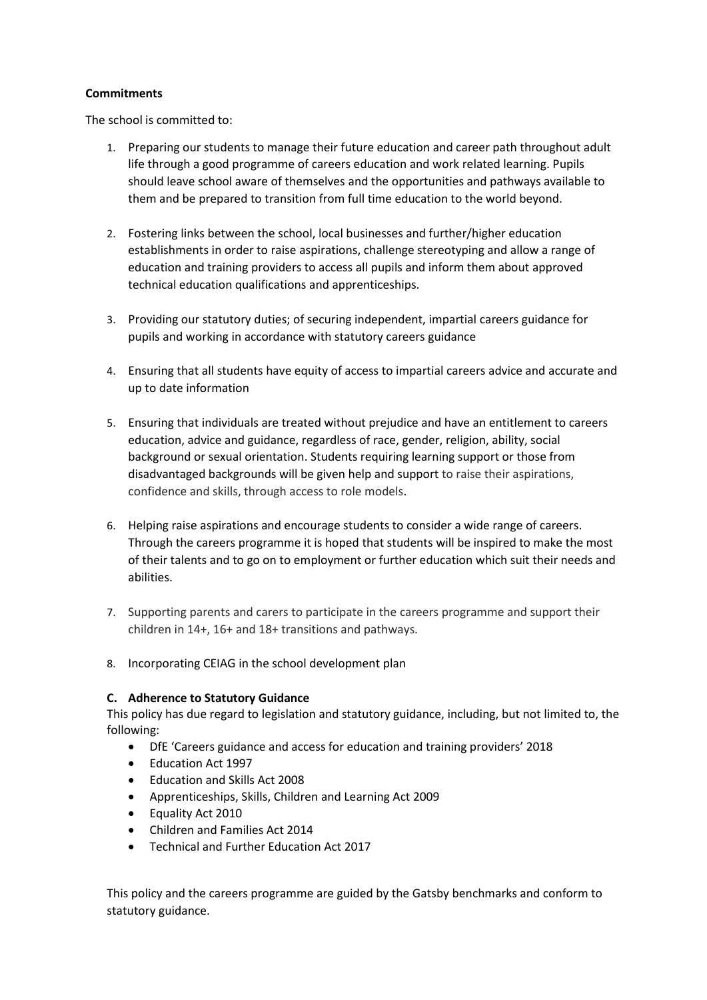#### **Commitments**

The school is committed to:

- 1. Preparing our students to manage their future education and career path throughout adult life through a good programme of careers education and work related learning. Pupils should leave school aware of themselves and the opportunities and pathways available to them and be prepared to transition from full time education to the world beyond.
- 2. Fostering links between the school, local businesses and further/higher education establishments in order to raise aspirations, challenge stereotyping and allow a range of education and training providers to access all pupils and inform them about approved technical education qualifications and apprenticeships.
- 3. Providing our statutory duties; of securing independent, impartial careers guidance for pupils and working in accordance with statutory careers guidance
- 4. Ensuring that all students have equity of access to impartial careers advice and accurate and up to date information
- 5. Ensuring that individuals are treated without prejudice and have an entitlement to careers education, advice and guidance, regardless of race, gender, religion, ability, social background or sexual orientation. Students requiring learning support or those from disadvantaged backgrounds will be given help and support to raise their aspirations, confidence and skills, through access to role models.
- 6. Helping raise aspirations and encourage students to consider a wide range of careers. Through the careers programme it is hoped that students will be inspired to make the most of their talents and to go on to employment or further education which suit their needs and abilities.
- 7. Supporting parents and carers to participate in the careers programme and support their children in 14+, 16+ and 18+ transitions and pathways.
- 8. Incorporating CEIAG in the school development plan

#### **C. Adherence to Statutory Guidance**

This policy has due regard to legislation and statutory guidance, including, but not limited to, the following:

- DfE 'Careers guidance and access for education and training providers' 2018
- Education Act 1997
- Education and Skills Act 2008
- Apprenticeships, Skills, Children and Learning Act 2009
- Equality Act 2010
- Children and Families Act 2014
- Technical and Further Education Act 2017

This policy and the careers programme are guided by the Gatsby benchmarks and conform to statutory guidance.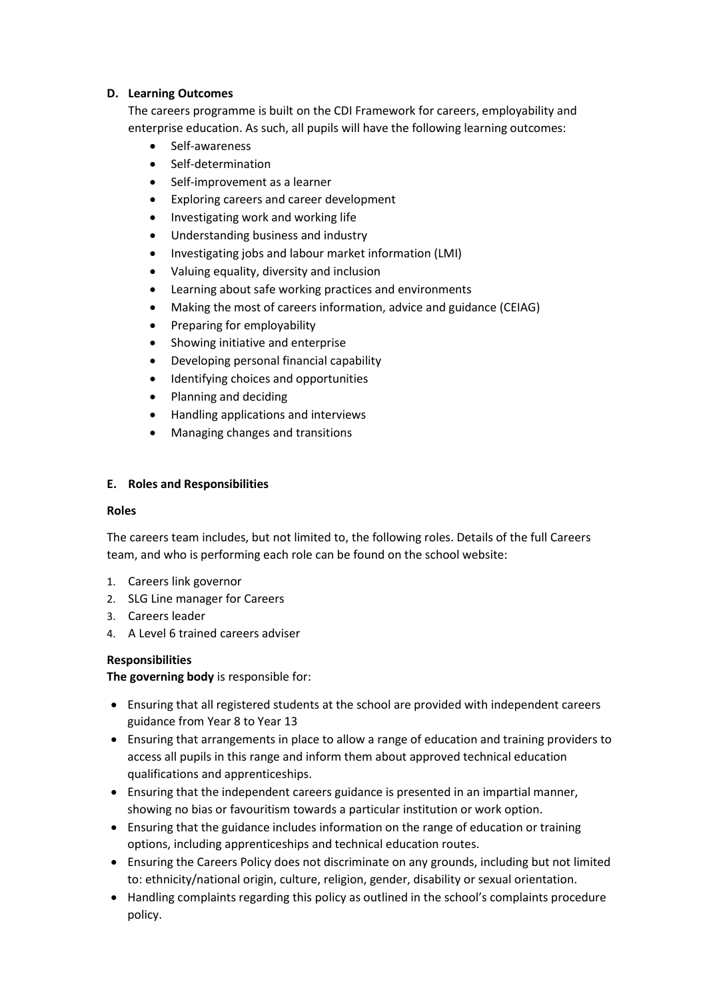#### **D. Learning Outcomes**

The careers programme is built on the CDI Framework for careers, employability and enterprise education. As such, all pupils will have the following learning outcomes:

- Self-awareness
- Self-determination
- Self-improvement as a learner
- Exploring careers and career development
- Investigating work and working life
- Understanding business and industry
- Investigating jobs and labour market information (LMI)
- Valuing equality, diversity and inclusion
- Learning about safe working practices and environments
- Making the most of careers information, advice and guidance (CEIAG)
- Preparing for employability
- Showing initiative and enterprise
- Developing personal financial capability
- Identifying choices and opportunities
- Planning and deciding
- Handling applications and interviews
- Managing changes and transitions

#### **E. Roles and Responsibilities**

#### **Roles**

The careers team includes, but not limited to, the following roles. Details of the full Careers team, and who is performing each role can be found on the school website:

- 1. Careers link governor
- 2. SLG Line manager for Careers
- 3. Careers leader
- 4. A Level 6 trained careers adviser

# **Responsibilities**

**The governing body** is responsible for:

- Ensuring that all registered students at the school are provided with independent careers guidance from Year 8 to Year 13
- Ensuring that arrangements in place to allow a range of education and training providers to access all pupils in this range and inform them about approved technical education qualifications and apprenticeships.
- Ensuring that the independent careers guidance is presented in an impartial manner, showing no bias or favouritism towards a particular institution or work option.
- Ensuring that the guidance includes information on the range of education or training options, including apprenticeships and technical education routes.
- Ensuring the Careers Policy does not discriminate on any grounds, including but not limited to: ethnicity/national origin, culture, religion, gender, disability or sexual orientation.
- Handling complaints regarding this policy as outlined in the school's complaints procedure policy.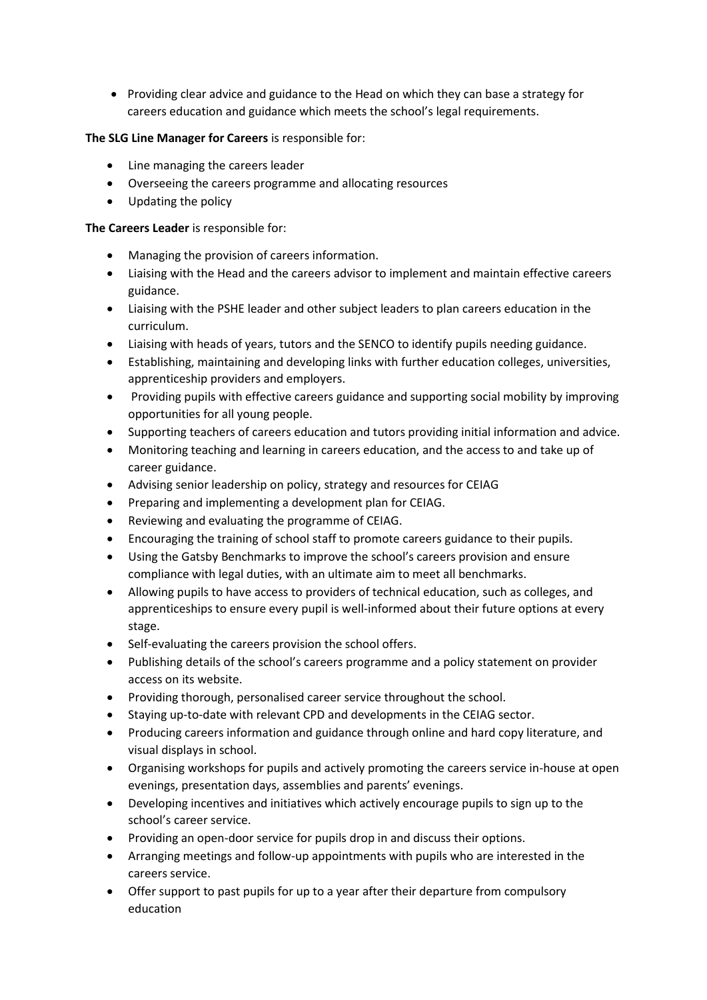• Providing clear advice and guidance to the Head on which they can base a strategy for careers education and guidance which meets the school's legal requirements.

# **The SLG Line Manager for Careers** is responsible for:

- Line managing the careers leader
- Overseeing the careers programme and allocating resources
- Updating the policy

#### **The Careers Leader** is responsible for:

- Managing the provision of careers information.
- Liaising with the Head and the careers advisor to implement and maintain effective careers guidance.
- Liaising with the PSHE leader and other subject leaders to plan careers education in the curriculum.
- Liaising with heads of years, tutors and the SENCO to identify pupils needing guidance.
- Establishing, maintaining and developing links with further education colleges, universities, apprenticeship providers and employers.
- Providing pupils with effective careers guidance and supporting social mobility by improving opportunities for all young people.
- Supporting teachers of careers education and tutors providing initial information and advice.
- Monitoring teaching and learning in careers education, and the access to and take up of career guidance.
- Advising senior leadership on policy, strategy and resources for CEIAG
- Preparing and implementing a development plan for CEIAG.
- Reviewing and evaluating the programme of CEIAG.
- Encouraging the training of school staff to promote careers guidance to their pupils.
- Using the Gatsby Benchmarks to improve the school's careers provision and ensure compliance with legal duties, with an ultimate aim to meet all benchmarks.
- Allowing pupils to have access to providers of technical education, such as colleges, and apprenticeships to ensure every pupil is well-informed about their future options at every stage.
- Self-evaluating the careers provision the school offers.
- Publishing details of the school's careers programme and a policy statement on provider access on its website.
- Providing thorough, personalised career service throughout the school.
- Staying up-to-date with relevant CPD and developments in the CEIAG sector.
- Producing careers information and guidance through online and hard copy literature, and visual displays in school.
- Organising workshops for pupils and actively promoting the careers service in-house at open evenings, presentation days, assemblies and parents' evenings.
- Developing incentives and initiatives which actively encourage pupils to sign up to the school's career service.
- Providing an open-door service for pupils drop in and discuss their options.
- Arranging meetings and follow-up appointments with pupils who are interested in the careers service.
- Offer support to past pupils for up to a year after their departure from compulsory education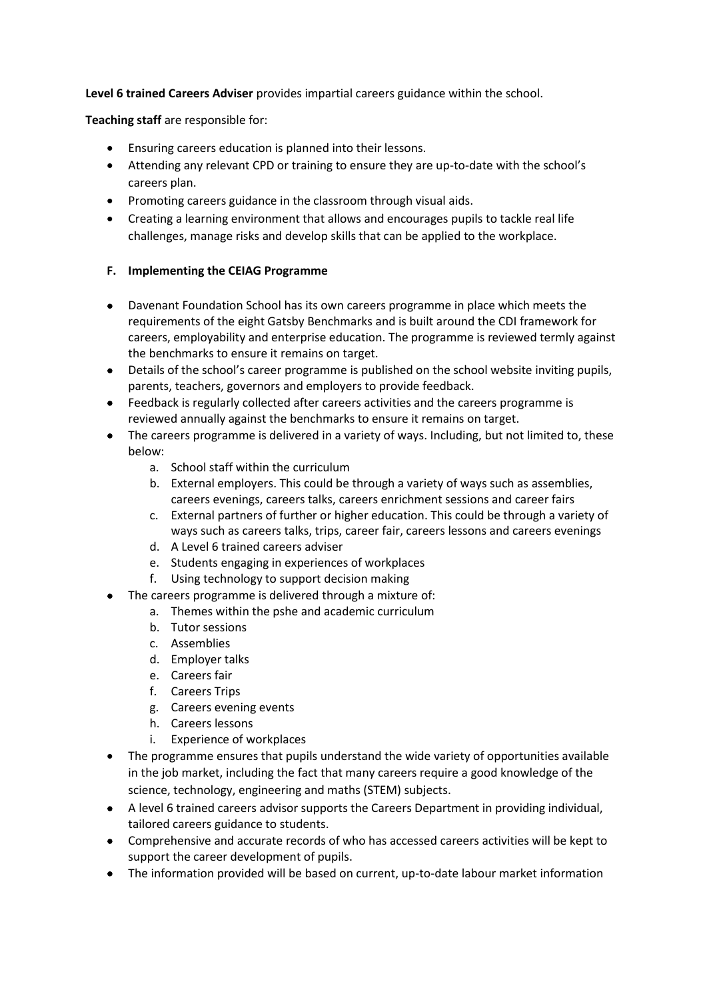**Level 6 trained Careers Adviser** provides impartial careers guidance within the school.

**Teaching staff** are responsible for:

- Ensuring careers education is planned into their lessons.
- Attending any relevant CPD or training to ensure they are up-to-date with the school's careers plan.
- Promoting careers guidance in the classroom through visual aids.
- Creating a learning environment that allows and encourages pupils to tackle real life challenges, manage risks and develop skills that can be applied to the workplace.

# **F. Implementing the CEIAG Programme**

- Davenant Foundation School has its own careers programme in place which meets the requirements of the eight Gatsby Benchmarks and is built around the CDI framework for careers, employability and enterprise education. The programme is reviewed termly against the benchmarks to ensure it remains on target.
- Details of the school's career programme is published on the school website inviting pupils, parents, teachers, governors and employers to provide feedback.
- Feedback is regularly collected after careers activities and the careers programme is reviewed annually against the benchmarks to ensure it remains on target.
- The careers programme is delivered in a variety of ways. Including, but not limited to, these below:
	- a. School staff within the curriculum
	- b. External employers. This could be through a variety of ways such as assemblies, careers evenings, careers talks, careers enrichment sessions and career fairs
	- c. External partners of further or higher education. This could be through a variety of ways such as careers talks, trips, career fair, careers lessons and careers evenings
	- d. A Level 6 trained careers adviser
	- e. Students engaging in experiences of workplaces
	- f. Using technology to support decision making
- The careers programme is delivered through a mixture of:
	- a. Themes within the pshe and academic curriculum
	- b. Tutor sessions
	- c. Assemblies
	- d. Employer talks
	- e. Careers fair
	- f. Careers Trips
	- g. Careers evening events
	- h. Careers lessons
	- i. Experience of workplaces
- The programme ensures that pupils understand the wide variety of opportunities available in the job market, including the fact that many careers require a good knowledge of the science, technology, engineering and maths (STEM) subjects.
- A level 6 trained careers advisor supports the Careers Department in providing individual, tailored careers guidance to students.
- Comprehensive and accurate records of who has accessed careers activities will be kept to support the career development of pupils.
- The information provided will be based on current, up-to-date labour market information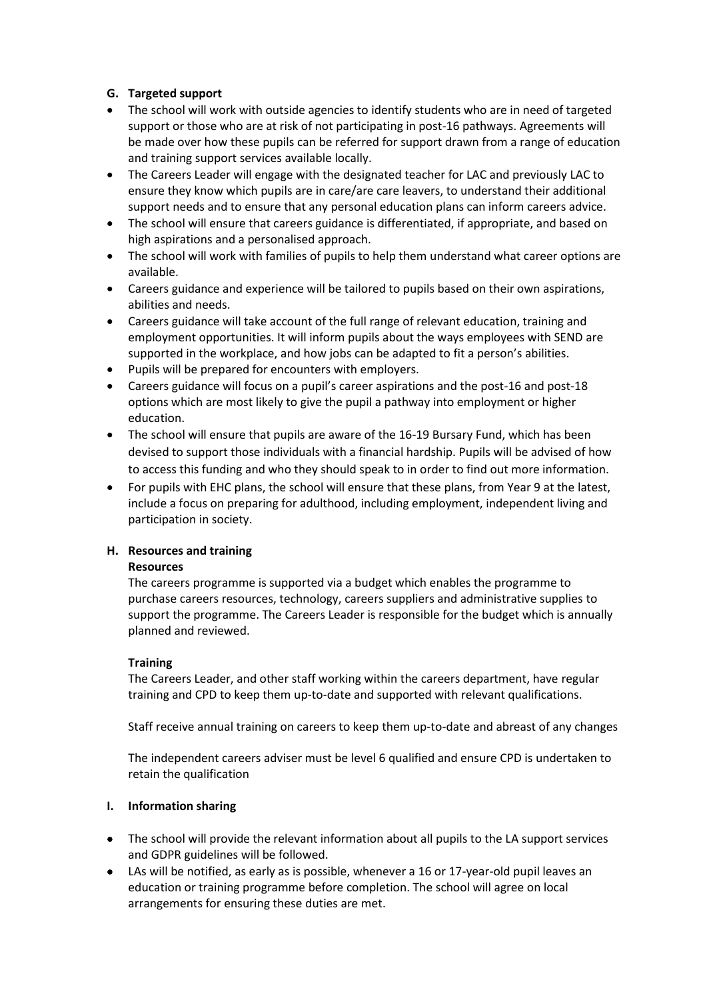# **G. Targeted support**

- The school will work with outside agencies to identify students who are in need of targeted support or those who are at risk of not participating in post-16 pathways. Agreements will be made over how these pupils can be referred for support drawn from a range of education and training support services available locally.
- The Careers Leader will engage with the designated teacher for LAC and previously LAC to ensure they know which pupils are in care/are care leavers, to understand their additional support needs and to ensure that any personal education plans can inform careers advice.
- The school will ensure that careers guidance is differentiated, if appropriate, and based on high aspirations and a personalised approach.
- The school will work with families of pupils to help them understand what career options are available.
- Careers guidance and experience will be tailored to pupils based on their own aspirations, abilities and needs.
- Careers guidance will take account of the full range of relevant education, training and employment opportunities. It will inform pupils about the ways employees with SEND are supported in the workplace, and how jobs can be adapted to fit a person's abilities.
- Pupils will be prepared for encounters with employers.
- Careers guidance will focus on a pupil's career aspirations and the post-16 and post-18 options which are most likely to give the pupil a pathway into employment or higher education.
- The school will ensure that pupils are aware of the 16-19 Bursary Fund, which has been devised to support those individuals with a financial hardship. Pupils will be advised of how to access this funding and who they should speak to in order to find out more information.
- For pupils with EHC plans, the school will ensure that these plans, from Year 9 at the latest, include a focus on preparing for adulthood, including employment, independent living and participation in society.

# **H. Resources and training**

# **Resources**

The careers programme is supported via a budget which enables the programme to purchase careers resources, technology, careers suppliers and administrative supplies to support the programme. The Careers Leader is responsible for the budget which is annually planned and reviewed.

# **Training**

The Careers Leader, and other staff working within the careers department, have regular training and CPD to keep them up-to-date and supported with relevant qualifications.

Staff receive annual training on careers to keep them up-to-date and abreast of any changes

The independent careers adviser must be level 6 qualified and ensure CPD is undertaken to retain the qualification

# **I. Information sharing**

- The school will provide the relevant information about all pupils to the LA support services and GDPR guidelines will be followed.
- LAs will be notified, as early as is possible, whenever a 16 or 17-year-old pupil leaves an education or training programme before completion. The school will agree on local arrangements for ensuring these duties are met.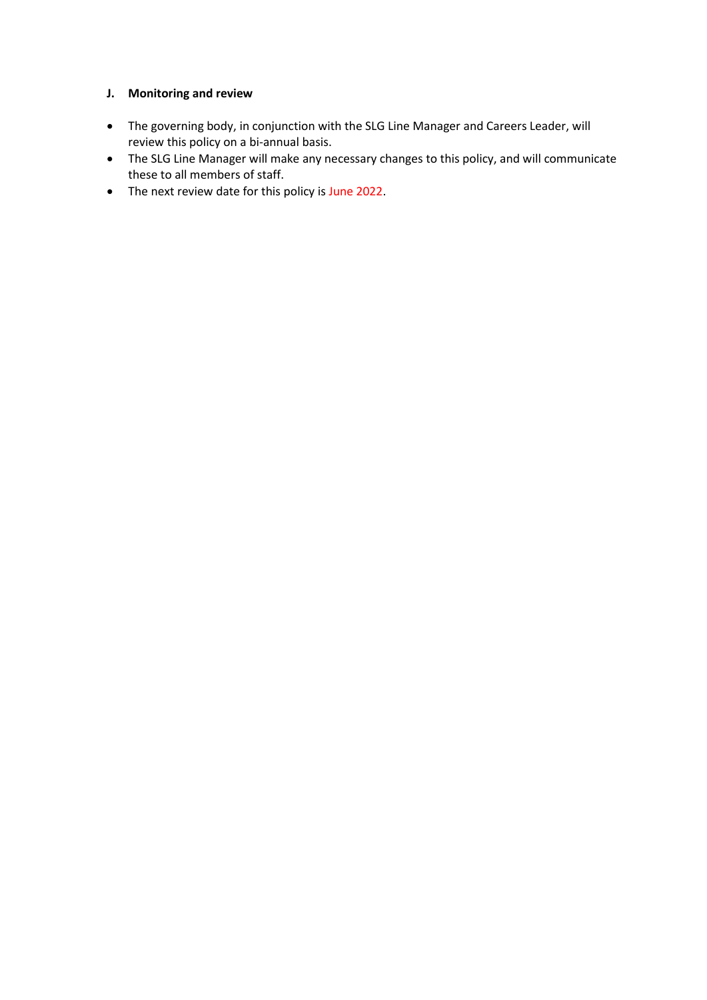#### **J. Monitoring and review**

- The governing body, in conjunction with the SLG Line Manager and Careers Leader, will review this policy on a bi-annual basis.
- The SLG Line Manager will make any necessary changes to this policy, and will communicate these to all members of staff.
- The next review date for this policy is June 2022.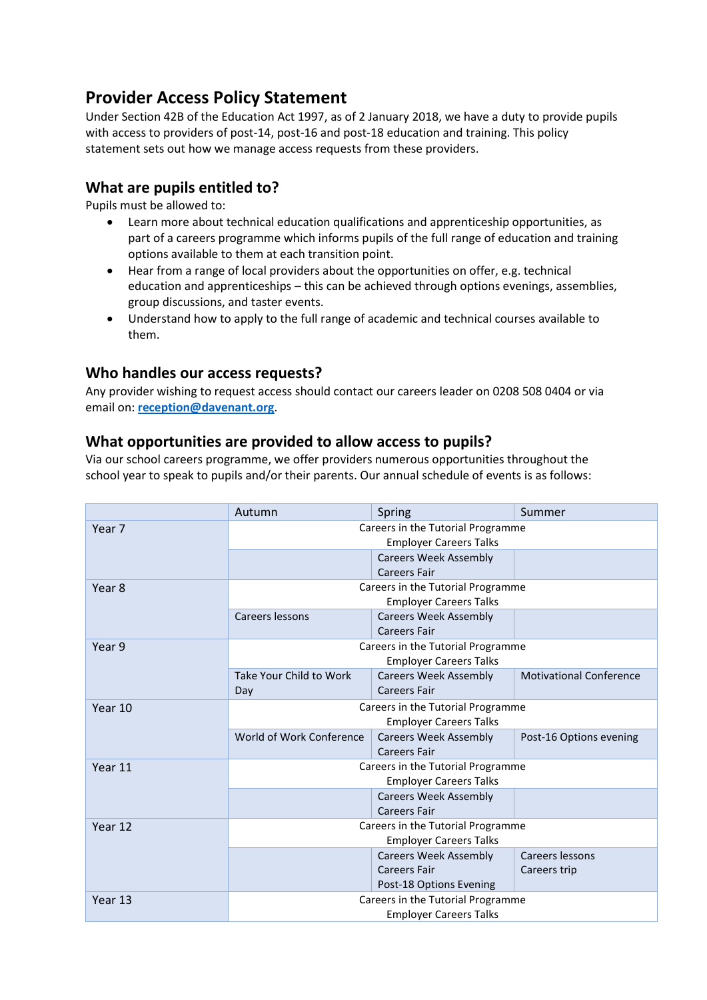# **Provider Access Policy Statement**

Under Section 42B of the Education Act 1997, as of 2 January 2018, we have a duty to provide pupils with access to providers of post-14, post-16 and post-18 education and training. This policy statement sets out how we manage access requests from these providers.

# **What are pupils entitled to?**

Pupils must be allowed to:

- Learn more about technical education qualifications and apprenticeship opportunities, as part of a careers programme which informs pupils of the full range of education and training options available to them at each transition point.
- Hear from a range of local providers about the opportunities on offer, e.g. technical education and apprenticeships – this can be achieved through options evenings, assemblies, group discussions, and taster events.
- Understand how to apply to the full range of academic and technical courses available to them.

# **Who handles our access requests?**

Any provider wishing to request access should contact our careers leader on 0208 508 0404 or via email on: **[reception@davenant.org](mailto:reception@davenant.org)**.

# **What opportunities are provided to allow access to pupils?**

Via our school careers programme, we offer providers numerous opportunities throughout the school year to speak to pupils and/or their parents. Our annual schedule of events is as follows:

|                   | Autumn                                                             | Spring                                              | Summer                          |
|-------------------|--------------------------------------------------------------------|-----------------------------------------------------|---------------------------------|
| Year <sub>7</sub> | Careers in the Tutorial Programme<br><b>Employer Careers Talks</b> |                                                     |                                 |
|                   |                                                                    | <b>Careers Week Assembly</b><br><b>Careers Fair</b> |                                 |
| Year 8            | Careers in the Tutorial Programme<br><b>Employer Careers Talks</b> |                                                     |                                 |
|                   | Careers lessons                                                    | <b>Careers Week Assembly</b><br><b>Careers Fair</b> |                                 |
| Year 9            | Careers in the Tutorial Programme<br><b>Employer Careers Talks</b> |                                                     |                                 |
|                   | Take Your Child to Work<br>Day                                     | <b>Careers Week Assembly</b><br><b>Careers Fair</b> | <b>Motivational Conference</b>  |
| Year 10           | Careers in the Tutorial Programme<br><b>Employer Careers Talks</b> |                                                     |                                 |
|                   | World of Work Conference                                           | <b>Careers Week Assembly</b><br><b>Careers Fair</b> | Post-16 Options evening         |
| Year 11           | Careers in the Tutorial Programme<br><b>Employer Careers Talks</b> |                                                     |                                 |
|                   |                                                                    | <b>Careers Week Assembly</b><br><b>Careers Fair</b> |                                 |
| Year 12           | Careers in the Tutorial Programme<br><b>Employer Careers Talks</b> |                                                     |                                 |
|                   |                                                                    | <b>Careers Week Assembly</b><br><b>Careers Fair</b> | Careers lessons<br>Careers trip |
|                   |                                                                    | Post-18 Options Evening                             |                                 |
| Year 13           | Careers in the Tutorial Programme                                  |                                                     |                                 |
|                   | <b>Employer Careers Talks</b>                                      |                                                     |                                 |